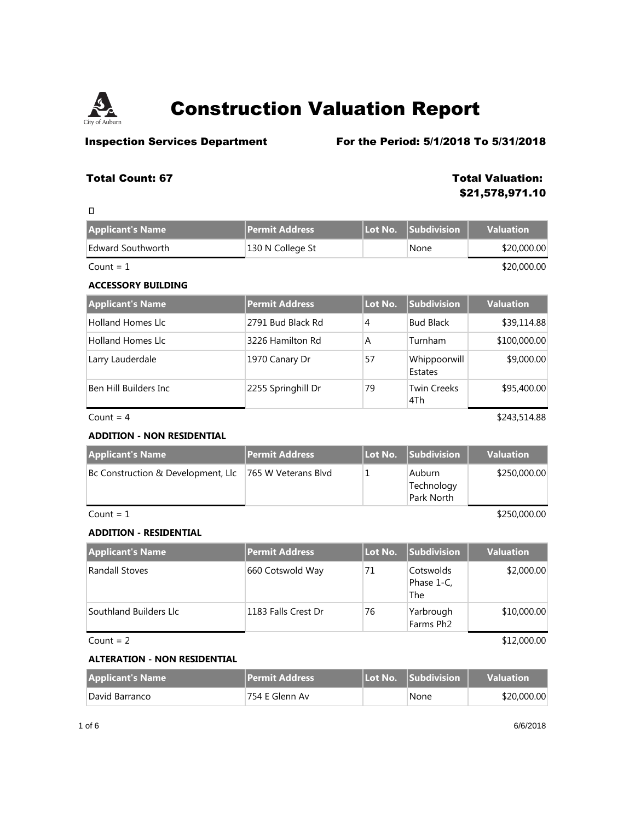

**Inspection Services Department** For the Period: 5/1/2018 To 5/31/2018

## **Total Count: 67 Total Valuation:**

**\$21,578,971.10**

| O                         |                  |         |                    |                  |
|---------------------------|------------------|---------|--------------------|------------------|
| <b>Applicant's Name</b>   | Permit Address   | Lot No. | <b>Subdivision</b> | <b>Valuation</b> |
| Edward Southworth         | 130 N College St |         | None               | \$20,000.00      |
| Count = $1$               |                  |         |                    | \$20,000.00      |
| <b>ACCESSORY BUILDING</b> |                  |         |                    |                  |

| <b>Applicant's Name</b>  | Permit Address     | Lot No. | <b>Subdivision</b>        | <b>Valuation</b> |
|--------------------------|--------------------|---------|---------------------------|------------------|
| <b>Holland Homes Llc</b> | 2791 Bud Black Rd  | 4       | <b>Bud Black</b>          | \$39,114.88      |
| <b>Holland Homes Llc</b> | 3226 Hamilton Rd   | A       | Turnham                   | \$100,000.00     |
| Larry Lauderdale         | 1970 Canary Dr     | 57      | Whippoorwill<br>Estates   | \$9,000.00       |
| Ben Hill Builders Inc    | 2255 Springhill Dr | 79      | <b>Twin Creeks</b><br>4Th | \$95,400.00      |

 $Count = 4$  \$243,514.88

## **ADDITION - NON RESIDENTIAL**

| <b>Applicant's Name</b>                                | <b>Permit Address</b> | Lot No. Subdivision                       | <b>Valuation</b> |
|--------------------------------------------------------|-----------------------|-------------------------------------------|------------------|
| Bc Construction & Development, Llc 765 W Veterans Blvd |                       | <b>Auburn</b><br>Technology<br>Park North | \$250,000.00     |

 $\text{Count} = 1$  \$250,000.00

## **ADDITION - RESIDENTIAL**

| <b>Applicant's Name</b> | Permit Address      | Lot No. | <b>Subdivision</b>             | <b>Valuation</b> |
|-------------------------|---------------------|---------|--------------------------------|------------------|
| Randall Stoves          | 660 Cotswold Way    | 71      | Cotswolds<br>Phase 1-C,<br>The | \$2,000.00       |
| Southland Builders Llc  | 1183 Falls Crest Dr | 76      | Yarbrough<br>Farms Ph2         | \$10,000.00      |
| Count = $2$             |                     |         |                                | \$12,000.00      |

## **ALTERATION - NON RESIDENTIAL**

| <b>Applicant's Name</b> | <b>Permit Address</b> | <b>LLot No. Subdivision</b> | <b>Valuation</b> |
|-------------------------|-----------------------|-----------------------------|------------------|
| David Barranco          | 754 E Glenn Av        | None                        | \$20,000.00      |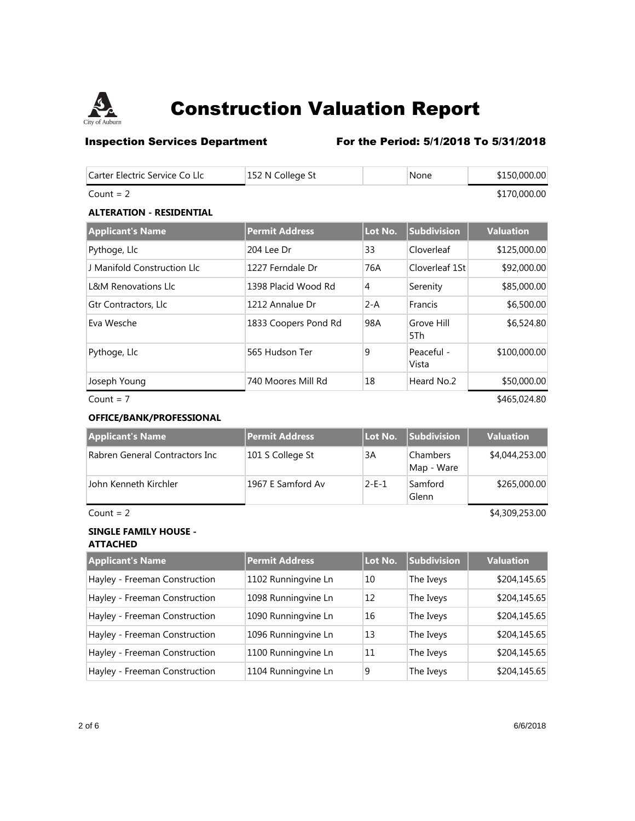

## **Inspection Services Department** For the Period: 5/1/2018 To 5/31/2018

| Carter Electric Service Co Llc  | 152 N College St      |         | None               | \$150,000.00     |
|---------------------------------|-----------------------|---------|--------------------|------------------|
| Count = $2$                     |                       |         |                    | \$170,000.00     |
| <b>ALTERATION - RESIDENTIAL</b> |                       |         |                    |                  |
| <b>Applicant's Name</b>         | <b>Permit Address</b> | Lot No. | <b>Subdivision</b> | <b>Valuation</b> |
| Pythoge, Llc                    | 204 Lee Dr            | 33      | Cloverleaf         | \$125,000.00     |
| J Manifold Construction Llc     | 1227 Ferndale Dr      | 76A     | Cloverleaf 1St     | \$92,000.00      |
| L&M Renovations Llc             | 1398 Placid Wood Rd   | 4       | Serenity           | \$85,000.00      |

| L&M Renovations Llc  | 1398 Placid Wood Rd  | 4       | Serenity            | \$85,000.00  |
|----------------------|----------------------|---------|---------------------|--------------|
| Gtr Contractors, Llc | 1212 Annalue Dr      | $2 - A$ | Francis             | \$6,500.00   |
| Eva Wesche           | 1833 Coopers Pond Rd | 98A     | Grove Hill<br>5Th   | \$6,524.80   |
| Pythoge, Llc         | 565 Hudson Ter       | 9       | Peaceful -<br>Vista | \$100,000.00 |
| Joseph Young         | 740 Moores Mill Rd   | 18      | Heard No.2          | \$50,000.00  |

 $Count = 7$  \$465,024.80

## **OFFICE/BANK/PROFESSIONAL**

| <b>Applicant's Name</b>        | <b>Permit Address</b> | Lot No.     | <b>Subdivision</b>     | <b>Valuation</b> |
|--------------------------------|-----------------------|-------------|------------------------|------------------|
| Rabren General Contractors Inc | 101 S College St      | 3A          | Chambers<br>Map - Ware | \$4,044,253.00   |
| John Kenneth Kirchler          | 1967 E Samford Av     | $2 - F - 1$ | Samford<br>Glenn       | \$265,000.00     |

 $Count = 2$  \$4,309,253.00

# **SINGLE FAMILY HOUSE -**

**ATTACHED**

| <b>Applicant's Name</b>       | <b>Permit Address</b> | Lot No. | Subdivision | <b>Valuation</b> |
|-------------------------------|-----------------------|---------|-------------|------------------|
| Hayley - Freeman Construction | 1102 Runningvine Ln   | 10      | The Iveys   | \$204,145.65     |
| Hayley - Freeman Construction | 1098 Runningvine Ln   | 12      | The Iveys   | \$204,145.65     |
| Hayley - Freeman Construction | 1090 Runningvine Ln   | 16      | The Iveys   | \$204,145.65     |
| Hayley - Freeman Construction | 1096 Runningvine Ln   | 13      | The Iveys   | \$204,145.65     |
| Hayley - Freeman Construction | 1100 Runningvine Ln   | 11      | The Iveys   | \$204,145.65     |
| Hayley - Freeman Construction | 1104 Runningvine Ln   | 9       | The Iveys   | \$204,145.65     |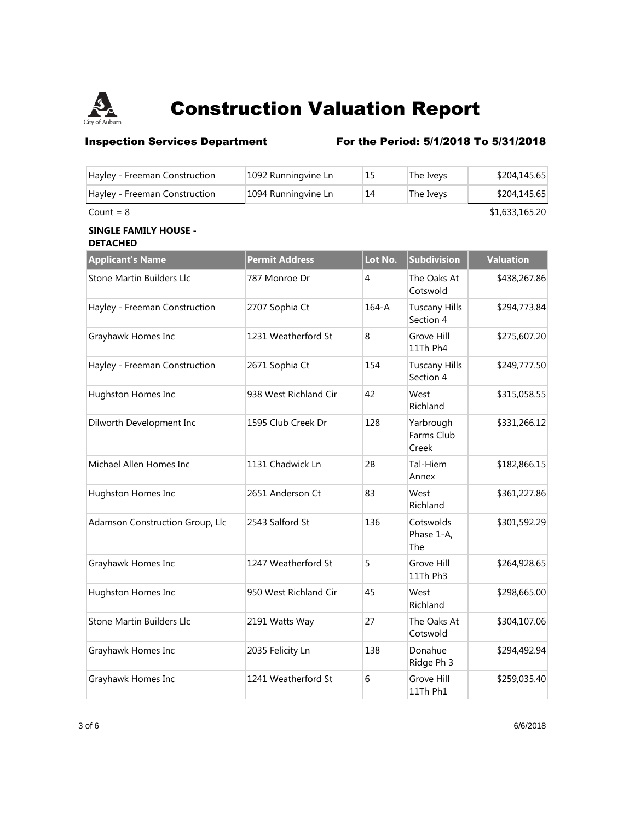

# **Inspection Services Department** For the Period: 5/1/2018 To 5/31/2018

| Hayley - Freeman Construction                   | 1092 Runningvine Ln   | 15        | The Iveys                         | \$204,145.65     |
|-------------------------------------------------|-----------------------|-----------|-----------------------------------|------------------|
| Hayley - Freeman Construction                   | 1094 Runningvine Ln   | 14        | The Iveys                         | \$204,145.65     |
| Count = $8$                                     |                       |           |                                   | \$1,633,165.20   |
| <b>SINGLE FAMILY HOUSE -</b><br><b>DETACHED</b> |                       |           |                                   |                  |
| <b>Applicant's Name</b>                         | <b>Permit Address</b> | Lot No.   | <b>Subdivision</b>                | <b>Valuation</b> |
| Stone Martin Builders Llc                       | 787 Monroe Dr         | 4         | The Oaks At<br>Cotswold           | \$438,267.86     |
| Hayley - Freeman Construction                   | 2707 Sophia Ct        | $164 - A$ | <b>Tuscany Hills</b><br>Section 4 | \$294,773.84     |
| Grayhawk Homes Inc                              | 1231 Weatherford St   | 8         | Grove Hill<br>11Th Ph4            | \$275,607.20     |
| Hayley - Freeman Construction                   | 2671 Sophia Ct        | 154       | <b>Tuscany Hills</b><br>Section 4 | \$249,777.50     |
| Hughston Homes Inc                              | 938 West Richland Cir | 42        | West<br>Richland                  | \$315,058.55     |
| Dilworth Development Inc                        | 1595 Club Creek Dr    | 128       | Yarbrough<br>Farms Club<br>Creek  | \$331,266.12     |
| Michael Allen Homes Inc                         | 1131 Chadwick Ln      | 2B        | Tal-Hiem<br>Annex                 | \$182,866.15     |
| Hughston Homes Inc                              | 2651 Anderson Ct      | 83        | West<br>Richland                  | \$361,227.86     |
| Adamson Construction Group, Llc                 | 2543 Salford St       | 136       | Cotswolds<br>Phase 1-A,<br>The    | \$301,592.29     |
| Grayhawk Homes Inc                              | 1247 Weatherford St   | 5         | Grove Hill<br>11Th Ph3            | \$264,928.65     |
| Hughston Homes Inc                              | 950 West Richland Cir | 45        | West<br>Richland                  | \$298,665.00     |
| Stone Martin Builders Llc                       | 2191 Watts Way        | 27        | The Oaks At<br>Cotswold           | \$304,107.06     |
| Grayhawk Homes Inc                              | 2035 Felicity Ln      | 138       | Donahue<br>Ridge Ph 3             | \$294,492.94     |
| Grayhawk Homes Inc                              | 1241 Weatherford St   | 6         | Grove Hill<br>11Th Ph1            | \$259,035.40     |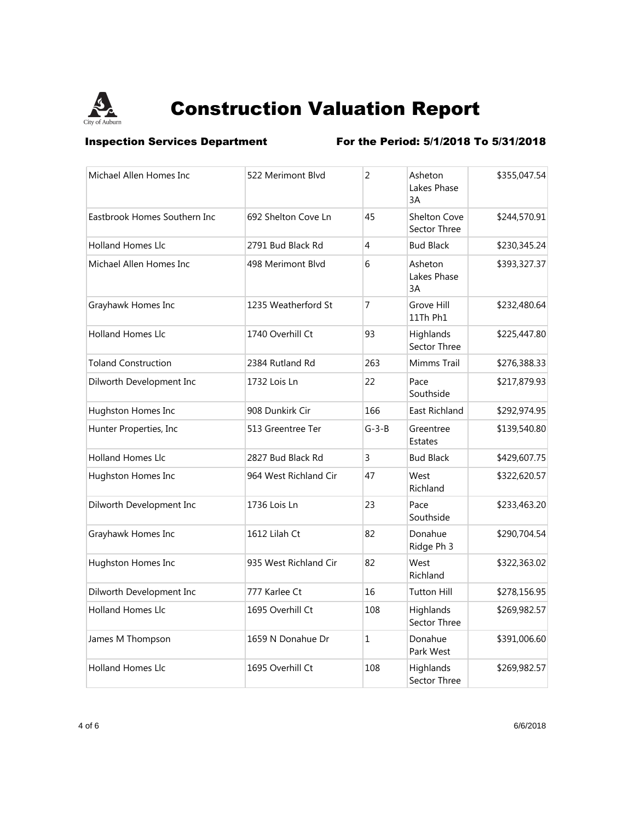

**Inspection Services Department** For the Period: 5/1/2018 To 5/31/2018

| Michael Allen Homes Inc      | 522 Merimont Blvd     | $\overline{2}$ | Asheton<br>Lakes Phase<br>3A        | \$355,047.54 |
|------------------------------|-----------------------|----------------|-------------------------------------|--------------|
| Eastbrook Homes Southern Inc | 692 Shelton Cove Ln   | 45             | <b>Shelton Cove</b><br>Sector Three | \$244,570.91 |
| <b>Holland Homes Llc</b>     | 2791 Bud Black Rd     | 4              | <b>Bud Black</b>                    | \$230,345.24 |
| Michael Allen Homes Inc      | 498 Merimont Blvd     | 6              | Asheton<br>Lakes Phase<br>3A        | \$393,327.37 |
| Grayhawk Homes Inc           | 1235 Weatherford St   | 7              | Grove Hill<br>11Th Ph1              | \$232,480.64 |
| <b>Holland Homes Llc</b>     | 1740 Overhill Ct      | 93             | Highlands<br>Sector Three           | \$225,447.80 |
| <b>Toland Construction</b>   | 2384 Rutland Rd       | 263            | Mimms Trail                         | \$276,388.33 |
| Dilworth Development Inc     | 1732 Lois Ln          | 22             | Pace<br>Southside                   | \$217,879.93 |
| Hughston Homes Inc           | 908 Dunkirk Cir       | 166            | East Richland                       | \$292,974.95 |
| Hunter Properties, Inc       | 513 Greentree Ter     | $G-3-B$        | Greentree<br><b>Estates</b>         | \$139,540.80 |
| <b>Holland Homes Llc</b>     | 2827 Bud Black Rd     | 3              | <b>Bud Black</b>                    | \$429,607.75 |
| Hughston Homes Inc           | 964 West Richland Cir | 47             | West<br>Richland                    | \$322,620.57 |
| Dilworth Development Inc     | 1736 Lois Ln          | 23             | Pace<br>Southside                   | \$233,463.20 |
| Grayhawk Homes Inc           | 1612 Lilah Ct         | 82             | Donahue<br>Ridge Ph 3               | \$290,704.54 |
| Hughston Homes Inc           | 935 West Richland Cir | 82             | West<br>Richland                    | \$322,363.02 |
| Dilworth Development Inc     | 777 Karlee Ct         | 16             | <b>Tutton Hill</b>                  | \$278,156.95 |
| <b>Holland Homes Llc</b>     | 1695 Overhill Ct      | 108            | Highlands<br>Sector Three           | \$269,982.57 |
| James M Thompson             | 1659 N Donahue Dr     | $\mathbf{1}$   | Donahue<br>Park West                | \$391,006.60 |
| <b>Holland Homes Llc</b>     | 1695 Overhill Ct      | 108            | Highlands<br>Sector Three           | \$269,982.57 |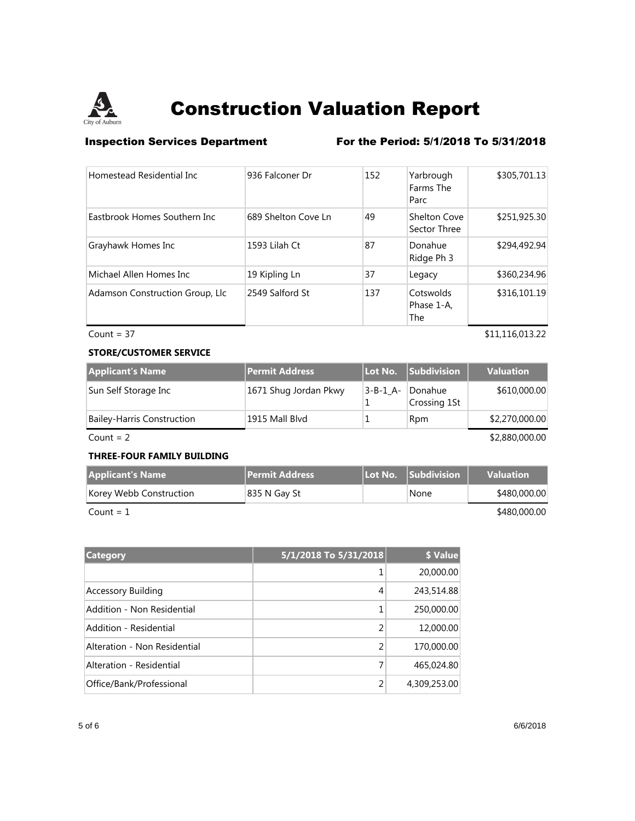

**Inspection Services Department** For the Period: 5/1/2018 To 5/31/2018

| Homestead Residential Inc       | 936 Falconer Dr     | 152 | Yarbrough<br>Farms The<br>Parc      | \$305,701.13 |
|---------------------------------|---------------------|-----|-------------------------------------|--------------|
| Eastbrook Homes Southern Inc.   | 689 Shelton Cove Ln | 49  | <b>Shelton Cove</b><br>Sector Three | \$251,925.30 |
| Grayhawk Homes Inc              | 1593 Lilah Ct       | 87  | Donahue<br>Ridge Ph 3               | \$294,492.94 |
| Michael Allen Homes Inc.        | 19 Kipling Ln       | 37  | Legacy                              | \$360,234.96 |
| Adamson Construction Group, Llc | 2549 Salford St     | 137 | Cotswolds<br>Phase 1-A,<br>The      | \$316,101.19 |

### $Count = 37$   $$11,116,013.22$

### **STORE/CUSTOMER SERVICE**

| <b>Applicant's Name</b>           | Permit Address        | Lot No.  | Subdivision             | <b>Valuation</b> |
|-----------------------------------|-----------------------|----------|-------------------------|------------------|
| Sun Self Storage Inc              | 1671 Shug Jordan Pkwy | 3-B-1 A- | Donahue<br>Crossing 1St | \$610,000.00     |
| <b>Bailey-Harris Construction</b> | 1915 Mall Blvd        |          | Rpm                     | \$2,270,000.00   |
| Count = $2$                       |                       |          |                         | \$2,880,000.00   |

## **THREE-FOUR FAMILY BUILDING**

| <b>Applicant's Name</b> | <b>Permit Address</b> | <b>ILot No. Subdivision</b> | <b>Valuation</b> |
|-------------------------|-----------------------|-----------------------------|------------------|
| Korey Webb Construction | 835 N Gay St          | None                        | \$480,000.00     |
|                         |                       |                             |                  |

 $\text{Count} = 1$  \$480,000.00

**Category 5/1/2018 To 5/31/2018 \$ Value** 1 20,000.00 Accessory Building **Accessory Building Accessory Building Accessory Building Accessory Building** Addition - Non Residential 1 250,000.00 Addition - Residential 2 12,000.00 Alteration - Non Residential 2 170,000.00 Alteration - Residential 7 465,024.80 Office/Bank/Professional 2 4,309,253.00

5 of 6 6/6/2018